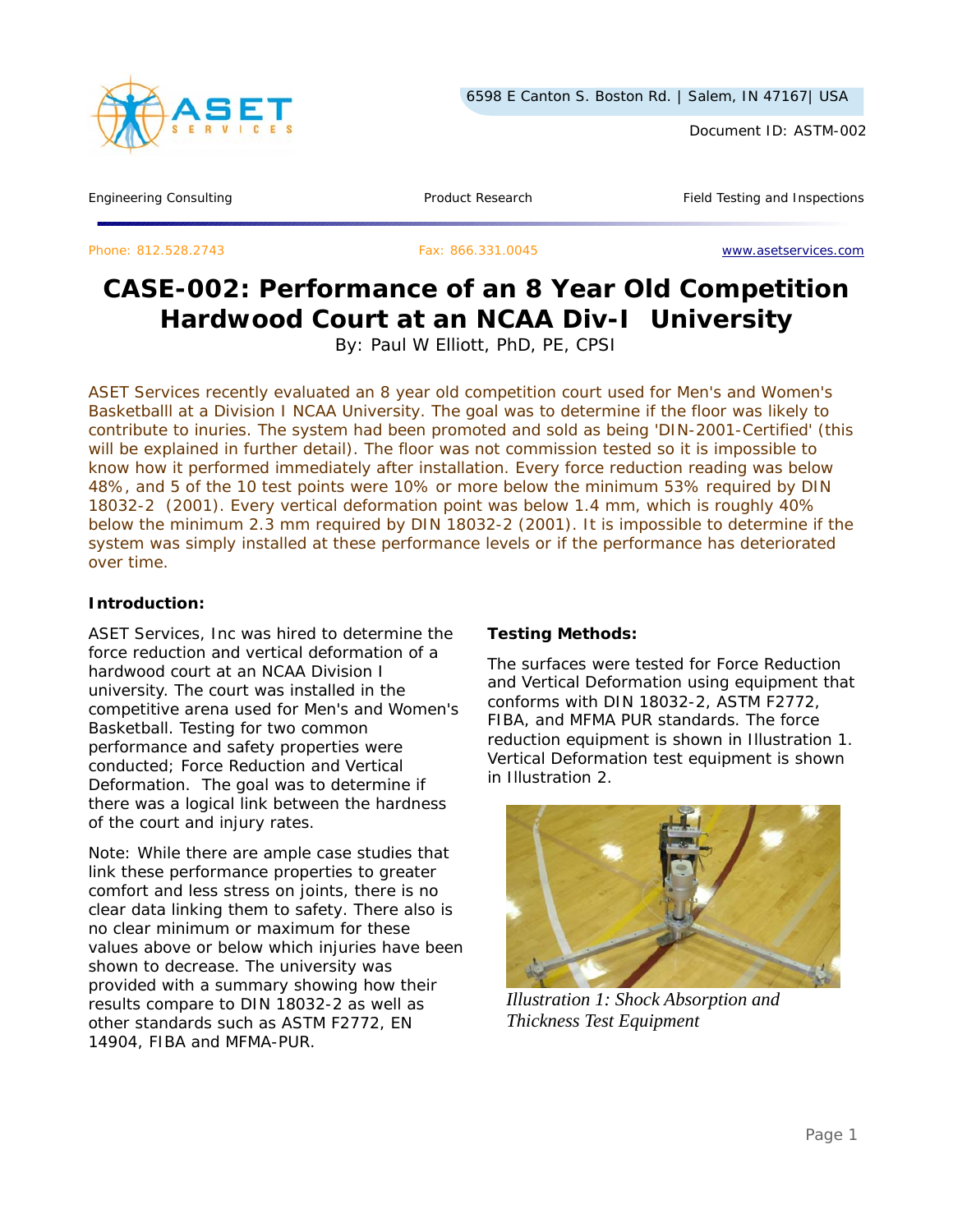

Document ID: ASTM-002

Engineering Consulting Testing Article 2012 Testing Product Research Testing Testing and Inspections

Phone: 812.528.2743 Fax: 866.331.0045 www.asetservices.com

# **CASE-002: Performance of an 8 Year Old Competition Hardwood Court at an NCAA Div-I University**

By: Paul W Elliott, PhD, PE, CPSI

*ASET Services recently evaluated an 8 year old competition court used for Men's and Women's Basketballl at a Division I NCAA University. The goal was to determine if the floor was likely to contribute to inuries. The system had been promoted and sold as being 'DIN-2001-Certified' (this will be explained in further detail). The floor was not commission tested so it is impossible to know how it performed immediately after installation. Every force reduction reading was below 48%, and 5 of the 10 test points were 10% or more below the minimum 53% required by DIN 18032-2 (2001). Every vertical deformation point was below 1.4 mm, which is roughly 40% below the minimum 2.3 mm required by DIN 18032-2 (2001). It is impossible to determine if the system was simply installed at these performance levels or if the performance has deteriorated over time.* 

#### **Introduction:**

ASET Services, Inc was hired to determine the force reduction and vertical deformation of a hardwood court at an NCAA Division I university. The court was installed in the competitive arena used for Men's and Women's Basketball. Testing for two common performance and safety properties were conducted; Force Reduction and Vertical Deformation. The goal was to determine if there was a logical link between the hardness of the court and injury rates.

*Note: While there are ample case studies that link these performance properties to greater comfort and less stress on joints, there is no clear data linking them to safety. There also is no clear minimum or maximum for these values above or below which injuries have been shown to decrease. The university was provided with a summary showing how their results compare to DIN 18032-2 as well as other standards such as ASTM F2772, EN 14904, FIBA and MFMA-PUR.* 

#### **Testing Methods:**

The surfaces were tested for Force Reduction and Vertical Deformation using equipment that conforms with DIN 18032-2, ASTM F2772, FIBA, and MFMA PUR standards. The force reduction equipment is shown in Illustration 1. Vertical Deformation test equipment is shown in Illustration 2.



*Illustration 1: Shock Absorption and Thickness Test Equipment*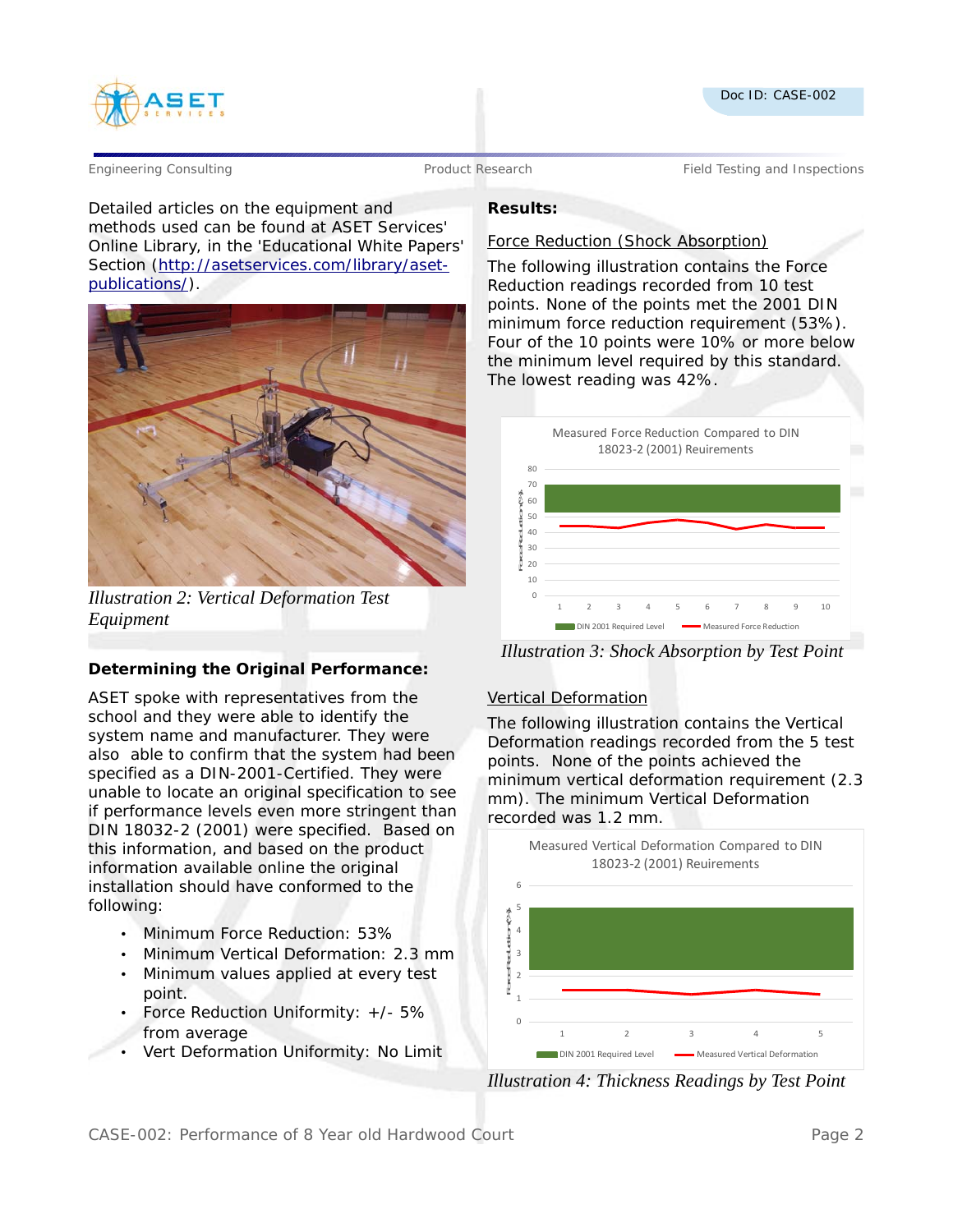

Engineering Consulting Testing According Product Research Field Testing and Inspections

Detailed articles on the equipment and methods used can be found at ASET Services' Online Library, in the 'Educational White Papers' Section (http://asetservices.com/library/asetpublications/).



*Illustration 2: Vertical Deformation Test Equipment*

# **Determining the Original Performance:**

ASET spoke with representatives from the school and they were able to identify the system name and manufacturer. They were also able to confirm that the system had been specified as a DIN-2001-Certified. They were unable to locate an original specification to see if performance levels even more stringent than DIN 18032-2 (2001) were specified. Based on this information, and based on the product information available online the original installation should have conformed to the following:

- Minimum Force Reduction: 53%
- Minimum Vertical Deformation: 2.3 mm
- Minimum values applied at every test point.
- Force Reduction Uniformity: +/- 5% from average
- Vert Deformation Uniformity: No Limit

## **Results:**

#### Force Reduction (Shock Absorption)

The following illustration contains the Force Reduction readings recorded from 10 test points. None of the points met the 2001 DIN minimum force reduction requirement (53%). Four of the 10 points were 10% or more below the minimum level required by this standard. The lowest reading was 42%.



*Illustration 3: Shock Absorption by Test Point*

# Vertical Deformation

The following illustration contains the Vertical Deformation readings recorded from the 5 test points. None of the points achieved the minimum vertical deformation requirement (2.3 mm). The minimum Vertical Deformation recorded was 1.2 mm.



*Illustration 4: Thickness Readings by Test Point*